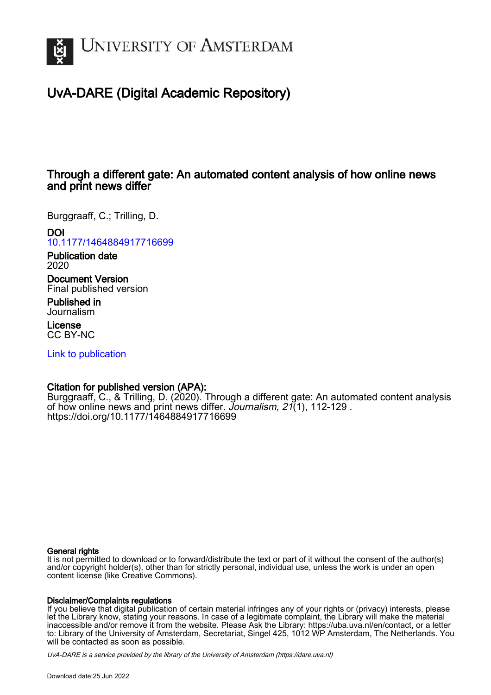

# UvA-DARE (Digital Academic Repository)

## Through a different gate: An automated content analysis of how online news and print news differ

Burggraaff, C.; Trilling, D.

## DOI

[10.1177/1464884917716699](https://doi.org/10.1177/1464884917716699)

Publication date 2020

Document Version Final published version

Published in Journalism

License CC BY-NC

[Link to publication](https://dare.uva.nl/personal/pure/en/publications/through-a-different-gate-an-automated-content-analysis-of-how-online-news-and-print-news-differ(42b54915-f8e5-4d45-bfff-e3aee779bcce).html)

## Citation for published version (APA):

Burggraaff, C., & Trilling, D. (2020). Through a different gate: An automated content analysis of how online news and print news differ. Journalism,  $21(1)$ , 112-129. <https://doi.org/10.1177/1464884917716699>

## General rights

It is not permitted to download or to forward/distribute the text or part of it without the consent of the author(s) and/or copyright holder(s), other than for strictly personal, individual use, unless the work is under an open content license (like Creative Commons).

## Disclaimer/Complaints regulations

If you believe that digital publication of certain material infringes any of your rights or (privacy) interests, please let the Library know, stating your reasons. In case of a legitimate complaint, the Library will make the material inaccessible and/or remove it from the website. Please Ask the Library: https://uba.uva.nl/en/contact, or a letter to: Library of the University of Amsterdam, Secretariat, Singel 425, 1012 WP Amsterdam, The Netherlands. You will be contacted as soon as possible.

UvA-DARE is a service provided by the library of the University of Amsterdam (http*s*://dare.uva.nl)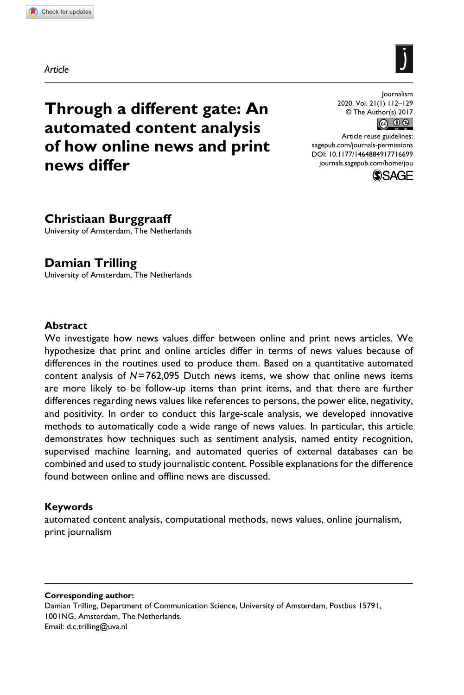**7166[99](http://crossmark.crossref.org/dialog/?doi=10.1177%2F1464884917716699&domain=pdf&date_stamp=2017-07-14)**JOU0010.1177/1464884917716699Journalism**Burggraaff and Trilling**

*Article*



**Through a different gate: An automated content analysis of how online news and print news differ**

Journalism 2020, Vol. 21(1) 112–129 © The Author(s) 2017



DOI: 10.1177/1464884917716699 Article reuse guidelines: [sagepub.com/journals-permissions](https://uk.sagepub.com/en-gb/journals-permissions) [journals.sagepub.com/home/jou](https://journals.sagepub.com/home/jou)



# **Christiaan Burggraaff**

University of Amsterdam, The Netherlands

**Damian Trilling**

University of Amsterdam, The Netherlands

## **Abstract**

We investigate how news values differ between online and print news articles. We hypothesize that print and online articles differ in terms of news values because of differences in the routines used to produce them. Based on a quantitative automated content analysis of *N*=762,095 Dutch news items, we show that online news items are more likely to be follow-up items than print items, and that there are further differences regarding news values like references to persons, the power elite, negativity, and positivity. In order to conduct this large-scale analysis, we developed innovative methods to automatically code a wide range of news values. In particular, this article demonstrates how techniques such as sentiment analysis, named entity recognition, supervised machine learning, and automated queries of external databases can be combined and used to study journalistic content. Possible explanations for the difference found between online and offline news are discussed.

## **Keywords**

automated content analysis, computational methods, news values, online journalism, print journalism

#### **Corresponding author:**

Damian Trilling, Department of Communication Science, University of Amsterdam, Postbus 15791, 1001NG, Amsterdam, The Netherlands. Email: [d.c.trilling@uva.nl](mailto:d.c.trilling@uva.nl)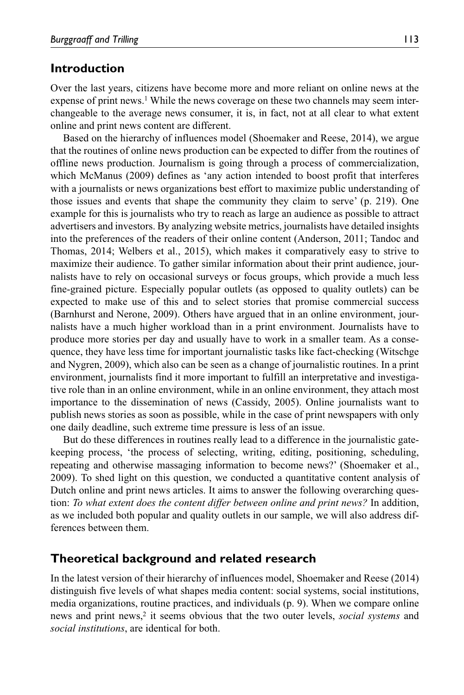## **Introduction**

Over the last years, citizens have become more and more reliant on online news at the expense of print news.<sup>1</sup> While the news coverage on these two channels may seem interchangeable to the average news consumer, it is, in fact, not at all clear to what extent online and print news content are different.

Based on the hierarchy of influences model (Shoemaker and Reese, 2014), we argue that the routines of online news production can be expected to differ from the routines of offline news production. Journalism is going through a process of commercialization, which McManus (2009) defines as 'any action intended to boost profit that interferes with a journalists or news organizations best effort to maximize public understanding of those issues and events that shape the community they claim to serve' (p. 219). One example for this is journalists who try to reach as large an audience as possible to attract advertisers and investors. By analyzing website metrics, journalists have detailed insights into the preferences of the readers of their online content (Anderson, 2011; Tandoc and Thomas, 2014; Welbers et al., 2015), which makes it comparatively easy to strive to maximize their audience. To gather similar information about their print audience, journalists have to rely on occasional surveys or focus groups, which provide a much less fine-grained picture. Especially popular outlets (as opposed to quality outlets) can be expected to make use of this and to select stories that promise commercial success (Barnhurst and Nerone, 2009). Others have argued that in an online environment, journalists have a much higher workload than in a print environment. Journalists have to produce more stories per day and usually have to work in a smaller team. As a consequence, they have less time for important journalistic tasks like fact-checking (Witschge and Nygren, 2009), which also can be seen as a change of journalistic routines. In a print environment, journalists find it more important to fulfill an interpretative and investigative role than in an online environment, while in an online environment, they attach most importance to the dissemination of news (Cassidy, 2005). Online journalists want to publish news stories as soon as possible, while in the case of print newspapers with only one daily deadline, such extreme time pressure is less of an issue.

But do these differences in routines really lead to a difference in the journalistic gatekeeping process, 'the process of selecting, writing, editing, positioning, scheduling, repeating and otherwise massaging information to become news?' (Shoemaker et al., 2009). To shed light on this question, we conducted a quantitative content analysis of Dutch online and print news articles. It aims to answer the following overarching question: *To what extent does the content differ between online and print news?* In addition, as we included both popular and quality outlets in our sample, we will also address differences between them.

## **Theoretical background and related research**

In the latest version of their hierarchy of influences model, Shoemaker and Reese (2014) distinguish five levels of what shapes media content: social systems, social institutions, media organizations, routine practices, and individuals (p. 9). When we compare online news and print news,<sup>2</sup> it seems obvious that the two outer levels, *social systems* and *social institutions*, are identical for both.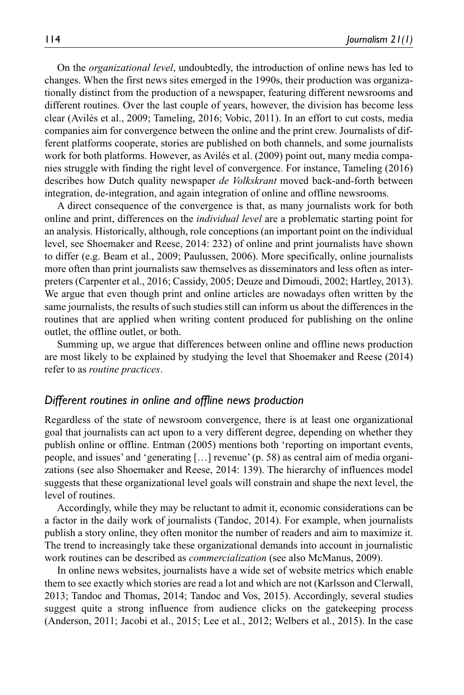On the *organizational level*, undoubtedly, the introduction of online news has led to changes. When the first news sites emerged in the 1990s, their production was organizationally distinct from the production of a newspaper, featuring different newsrooms and different routines. Over the last couple of years, however, the division has become less clear (Avilés et al., 2009; Tameling, 2016; Vobic, 2011). In an effort to cut costs, media companies aim for convergence between the online and the print crew. Journalists of different platforms cooperate, stories are published on both channels, and some journalists work for both platforms. However, as Avilés et al. (2009) point out, many media companies struggle with finding the right level of convergence. For instance, Tameling (2016) describes how Dutch quality newspaper *de Volkskrant* moved back-and-forth between integration, de-integration, and again integration of online and offline newsrooms.

A direct consequence of the convergence is that, as many journalists work for both online and print, differences on the *individual level* are a problematic starting point for an analysis. Historically, although, role conceptions (an important point on the individual level, see Shoemaker and Reese, 2014: 232) of online and print journalists have shown to differ (e.g. Beam et al., 2009; Paulussen, 2006). More specifically, online journalists more often than print journalists saw themselves as disseminators and less often as interpreters (Carpenter et al., 2016; Cassidy, 2005; Deuze and Dimoudi, 2002; Hartley, 2013). We argue that even though print and online articles are nowadays often written by the same journalists, the results of such studies still can inform us about the differences in the routines that are applied when writing content produced for publishing on the online outlet, the offline outlet, or both.

Summing up, we argue that differences between online and offline news production are most likely to be explained by studying the level that Shoemaker and Reese (2014) refer to as *routine practices*.

### *Different routines in online and offline news production*

Regardless of the state of newsroom convergence, there is at least one organizational goal that journalists can act upon to a very different degree, depending on whether they publish online or offline. Entman (2005) mentions both 'reporting on important events, people, and issues' and 'generating […] revenue' (p. 58) as central aim of media organizations (see also Shoemaker and Reese, 2014: 139). The hierarchy of influences model suggests that these organizational level goals will constrain and shape the next level, the level of routines.

Accordingly, while they may be reluctant to admit it, economic considerations can be a factor in the daily work of journalists (Tandoc, 2014). For example, when journalists publish a story online, they often monitor the number of readers and aim to maximize it. The trend to increasingly take these organizational demands into account in journalistic work routines can be described as *commercialization* (see also McManus, 2009).

In online news websites, journalists have a wide set of website metrics which enable them to see exactly which stories are read a lot and which are not (Karlsson and Clerwall, 2013; Tandoc and Thomas, 2014; Tandoc and Vos, 2015). Accordingly, several studies suggest quite a strong influence from audience clicks on the gatekeeping process (Anderson, 2011; Jacobi et al., 2015; Lee et al., 2012; Welbers et al., 2015). In the case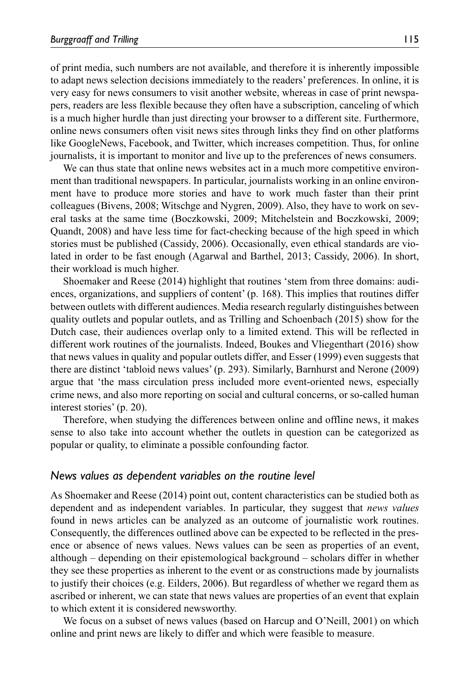of print media, such numbers are not available, and therefore it is inherently impossible to adapt news selection decisions immediately to the readers' preferences. In online, it is very easy for news consumers to visit another website, whereas in case of print newspapers, readers are less flexible because they often have a subscription, canceling of which is a much higher hurdle than just directing your browser to a different site. Furthermore, online news consumers often visit news sites through links they find on other platforms like GoogleNews, Facebook, and Twitter, which increases competition. Thus, for online journalists, it is important to monitor and live up to the preferences of news consumers.

We can thus state that online news websites act in a much more competitive environment than traditional newspapers. In particular, journalists working in an online environment have to produce more stories and have to work much faster than their print colleagues (Bivens, 2008; Witschge and Nygren, 2009). Also, they have to work on several tasks at the same time (Boczkowski, 2009; Mitchelstein and Boczkowski, 2009; Quandt, 2008) and have less time for fact-checking because of the high speed in which stories must be published (Cassidy, 2006). Occasionally, even ethical standards are violated in order to be fast enough (Agarwal and Barthel, 2013; Cassidy, 2006). In short, their workload is much higher.

Shoemaker and Reese (2014) highlight that routines 'stem from three domains: audiences, organizations, and suppliers of content' (p. 168). This implies that routines differ between outlets with different audiences. Media research regularly distinguishes between quality outlets and popular outlets, and as Trilling and Schoenbach (2015) show for the Dutch case, their audiences overlap only to a limited extend. This will be reflected in different work routines of the journalists. Indeed, Boukes and Vliegenthart (2016) show that news values in quality and popular outlets differ, and Esser (1999) even suggests that there are distinct 'tabloid news values' (p. 293). Similarly, Barnhurst and Nerone (2009) argue that 'the mass circulation press included more event-oriented news, especially crime news, and also more reporting on social and cultural concerns, or so-called human interest stories' (p. 20).

Therefore, when studying the differences between online and offline news, it makes sense to also take into account whether the outlets in question can be categorized as popular or quality, to eliminate a possible confounding factor.

### *News values as dependent variables on the routine level*

As Shoemaker and Reese (2014) point out, content characteristics can be studied both as dependent and as independent variables. In particular, they suggest that *news values* found in news articles can be analyzed as an outcome of journalistic work routines. Consequently, the differences outlined above can be expected to be reflected in the presence or absence of news values. News values can be seen as properties of an event, although – depending on their epistemological background – scholars differ in whether they see these properties as inherent to the event or as constructions made by journalists to justify their choices (e.g. Eilders, 2006). But regardless of whether we regard them as ascribed or inherent, we can state that news values are properties of an event that explain to which extent it is considered newsworthy.

We focus on a subset of news values (based on Harcup and O'Neill, 2001) on which online and print news are likely to differ and which were feasible to measure.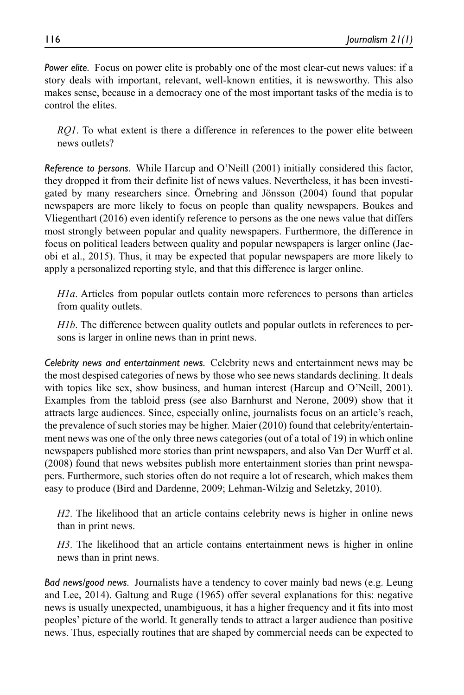*Power elite.* Focus on power elite is probably one of the most clear-cut news values: if a story deals with important, relevant, well-known entities, it is newsworthy. This also makes sense, because in a democracy one of the most important tasks of the media is to control the elites.

*RQ1*. To what extent is there a difference in references to the power elite between news outlets?

*Reference to persons.* While Harcup and O'Neill (2001) initially considered this factor, they dropped it from their definite list of news values. Nevertheless, it has been investigated by many researchers since. Örnebring and Jönsson (2004) found that popular newspapers are more likely to focus on people than quality newspapers. Boukes and Vliegenthart (2016) even identify reference to persons as the one news value that differs most strongly between popular and quality newspapers. Furthermore, the difference in focus on political leaders between quality and popular newspapers is larger online (Jacobi et al., 2015). Thus, it may be expected that popular newspapers are more likely to apply a personalized reporting style, and that this difference is larger online.

*H1a*. Articles from popular outlets contain more references to persons than articles from quality outlets.

*H1b*. The difference between quality outlets and popular outlets in references to persons is larger in online news than in print news.

*Celebrity news and entertainment news.* Celebrity news and entertainment news may be the most despised categories of news by those who see news standards declining. It deals with topics like sex, show business, and human interest (Harcup and O'Neill, 2001). Examples from the tabloid press (see also Barnhurst and Nerone, 2009) show that it attracts large audiences. Since, especially online, journalists focus on an article's reach, the prevalence of such stories may be higher. Maier (2010) found that celebrity/entertainment news was one of the only three news categories (out of a total of 19) in which online newspapers published more stories than print newspapers, and also Van Der Wurff et al. (2008) found that news websites publish more entertainment stories than print newspapers. Furthermore, such stories often do not require a lot of research, which makes them easy to produce (Bird and Dardenne, 2009; Lehman-Wilzig and Seletzky, 2010).

*H2*. The likelihood that an article contains celebrity news is higher in online news than in print news.

*H3*. The likelihood that an article contains entertainment news is higher in online news than in print news.

*Bad news/good news.* Journalists have a tendency to cover mainly bad news (e.g. Leung and Lee, 2014). Galtung and Ruge (1965) offer several explanations for this: negative news is usually unexpected, unambiguous, it has a higher frequency and it fits into most peoples' picture of the world. It generally tends to attract a larger audience than positive news. Thus, especially routines that are shaped by commercial needs can be expected to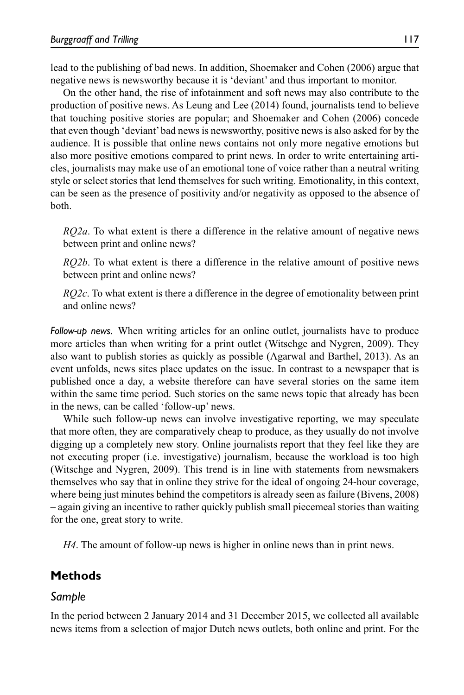lead to the publishing of bad news. In addition, Shoemaker and Cohen (2006) argue that negative news is newsworthy because it is 'deviant' and thus important to monitor.

On the other hand, the rise of infotainment and soft news may also contribute to the production of positive news. As Leung and Lee (2014) found, journalists tend to believe that touching positive stories are popular; and Shoemaker and Cohen (2006) concede that even though 'deviant' bad news is newsworthy, positive news is also asked for by the audience. It is possible that online news contains not only more negative emotions but also more positive emotions compared to print news. In order to write entertaining articles, journalists may make use of an emotional tone of voice rather than a neutral writing style or select stories that lend themselves for such writing. Emotionality, in this context, can be seen as the presence of positivity and/or negativity as opposed to the absence of both.

*RQ2a*. To what extent is there a difference in the relative amount of negative news between print and online news?

*RQ2b*. To what extent is there a difference in the relative amount of positive news between print and online news?

*RQ2c*. To what extent is there a difference in the degree of emotionality between print and online news?

*Follow-up news.* When writing articles for an online outlet, journalists have to produce more articles than when writing for a print outlet (Witschge and Nygren, 2009). They also want to publish stories as quickly as possible (Agarwal and Barthel, 2013). As an event unfolds, news sites place updates on the issue. In contrast to a newspaper that is published once a day, a website therefore can have several stories on the same item within the same time period. Such stories on the same news topic that already has been in the news, can be called 'follow-up' news.

While such follow-up news can involve investigative reporting, we may speculate that more often, they are comparatively cheap to produce, as they usually do not involve digging up a completely new story. Online journalists report that they feel like they are not executing proper (i.e. investigative) journalism, because the workload is too high (Witschge and Nygren, 2009). This trend is in line with statements from newsmakers themselves who say that in online they strive for the ideal of ongoing 24-hour coverage, where being just minutes behind the competitors is already seen as failure (Bivens, 2008) – again giving an incentive to rather quickly publish small piecemeal stories than waiting for the one, great story to write.

*H4*. The amount of follow-up news is higher in online news than in print news.

## **Methods**

## *Sample*

In the period between 2 January 2014 and 31 December 2015, we collected all available news items from a selection of major Dutch news outlets, both online and print. For the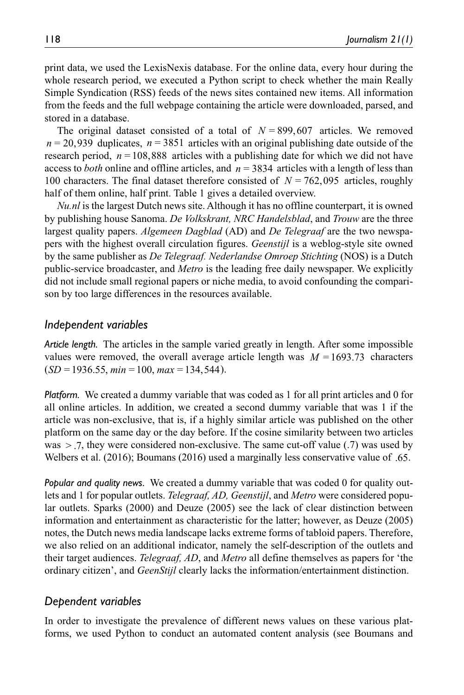print data, we used the LexisNexis database. For the online data, every hour during the whole research period, we executed a Python script to check whether the main Really Simple Syndication (RSS) feeds of the news sites contained new items. All information from the feeds and the full webpage containing the article were downloaded, parsed, and stored in a database.

The original dataset consisted of a total of  $N = 899,607$  articles. We removed  $n = 20,939$  duplicates,  $n = 3851$  articles with an original publishing date outside of the research period,  $n = 108,888$  articles with a publishing date for which we did not have access to *both* online and offline articles, and  $n = 3834$  articles with a length of less than 100 characters. The final dataset therefore consisted of *N* = 762,095 articles, roughly half of them online, half print. Table 1 gives a detailed overview.

*Nu.nl* is the largest Dutch news site. Although it has no offline counterpart, it is owned by publishing house Sanoma. *De Volkskrant, NRC Handelsblad*, and *Trouw* are the three largest quality papers. *Algemeen Dagblad* (AD) and *De Telegraaf* are the two newspapers with the highest overall circulation figures. *Geenstijl* is a weblog-style site owned by the same publisher as *De Telegraaf. Nederlandse Omroep Stichting* (NOS) is a Dutch public-service broadcaster, and *Metro* is the leading free daily newspaper. We explicitly did not include small regional papers or niche media, to avoid confounding the comparison by too large differences in the resources available.

## *Independent variables*

*Article length.* The articles in the sample varied greatly in length. After some impossible values were removed, the overall average article length was  $M = 1693.73$  characters  $(SD = 1936.55, min = 100, max = 134,544).$ 

*Platform.* We created a dummy variable that was coded as 1 for all print articles and 0 for all online articles. In addition, we created a second dummy variable that was 1 if the article was non-exclusive, that is, if a highly similar article was published on the other platform on the same day or the day before. If the cosine similarity between two articles was  $> .7$ , they were considered non-exclusive. The same cut-off value (.7) was used by Welbers et al. (2016); Boumans (2016) used a marginally less conservative value of .65.

*Popular and quality news.* We created a dummy variable that was coded 0 for quality outlets and 1 for popular outlets. *Telegraaf, AD, Geenstijl*, and *Metro* were considered popular outlets. Sparks (2000) and Deuze (2005) see the lack of clear distinction between information and entertainment as characteristic for the latter; however, as Deuze (2005) notes, the Dutch news media landscape lacks extreme forms of tabloid papers. Therefore, we also relied on an additional indicator, namely the self-description of the outlets and their target audiences. *Telegraaf, AD*, and *Metro* all define themselves as papers for 'the ordinary citizen', and *GeenStijl* clearly lacks the information/entertainment distinction.

## *Dependent variables*

In order to investigate the prevalence of different news values on these various platforms, we used Python to conduct an automated content analysis (see Boumans and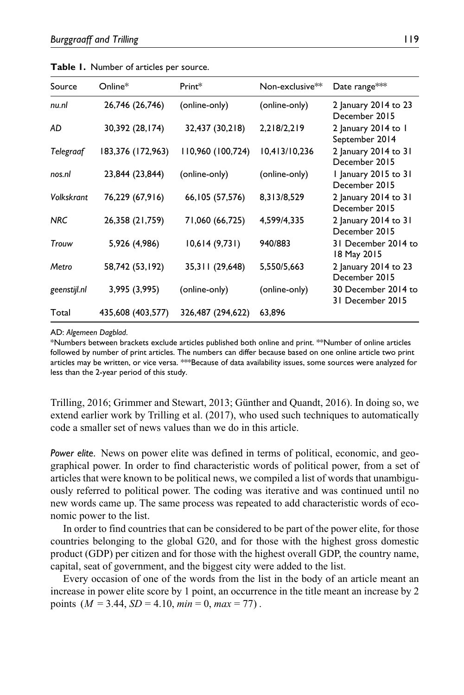| Source            | $Online*$         | Print*            | Non-exclusive** | Date range***                           |
|-------------------|-------------------|-------------------|-----------------|-----------------------------------------|
| nu.nl             | 26,746 (26,746)   | (online-only)     | (online-only)   | 2 January 2014 to 23<br>December 2015   |
| AD                | 30,392 (28,174)   | 32,437 (30,218)   | 2,218/2,219     | 2 January 2014 to 1<br>September 2014   |
| Telegraaf         | 183,376 (172,963) | 110,960 (100,724) | 10,413/10,236   | 2 January 2014 to 31<br>December 2015   |
| nos.nl            | 23,844 (23,844)   | (online-only)     | (online-only)   | $l$ January 2015 to 31<br>December 2015 |
| <b>Volkskrant</b> | 76,229 (67,916)   | 66, 105 (57, 576) | 8,313/8,529     | 2 January 2014 to 31<br>December 2015   |
| NRC               | 26,358 (21,759)   | 71,060 (66,725)   | 4,599/4,335     | 2 January 2014 to 31<br>December 2015   |
| Trouw             | 5,926 (4,986)     | 10,614(9,731)     | 940/883         | 31 December 2014 to<br>18 May 2015      |
| Metro             | 58,742 (53,192)   | 35,311 (29,648)   | 5,550/5,663     | 2 January 2014 to 23<br>December 2015   |
| geenstijl.nl      | 3,995 (3,995)     | (online-only)     | (online-only)   | 30 December 2014 to<br>31 December 2015 |
| Total             | 435,608 (403,577) | 326,487 (294,622) | 63,896          |                                         |

**Table 1.** Number of articles per source.

#### AD: *Algemeen Dagblad*.

\*Numbers between brackets exclude articles published both online and print. \*\*Number of online articles followed by number of print articles. The numbers can differ because based on one online article two print articles may be written, or vice versa. \*\*\*Because of data availability issues, some sources were analyzed for less than the 2-year period of this study.

Trilling, 2016; Grimmer and Stewart, 2013; Günther and Quandt, 2016). In doing so, we extend earlier work by Trilling et al. (2017), who used such techniques to automatically code a smaller set of news values than we do in this article.

*Power elite.* News on power elite was defined in terms of political, economic, and geographical power. In order to find characteristic words of political power, from a set of articles that were known to be political news, we compiled a list of words that unambiguously referred to political power. The coding was iterative and was continued until no new words came up. The same process was repeated to add characteristic words of economic power to the list.

In order to find countries that can be considered to be part of the power elite, for those countries belonging to the global G20, and for those with the highest gross domestic product (GDP) per citizen and for those with the highest overall GDP, the country name, capital, seat of government, and the biggest city were added to the list.

Every occasion of one of the words from the list in the body of an article meant an increase in power elite score by 1 point, an occurrence in the title meant an increase by 2 points  $(M = 3.44, SD = 4.10, min = 0, max = 77)$ .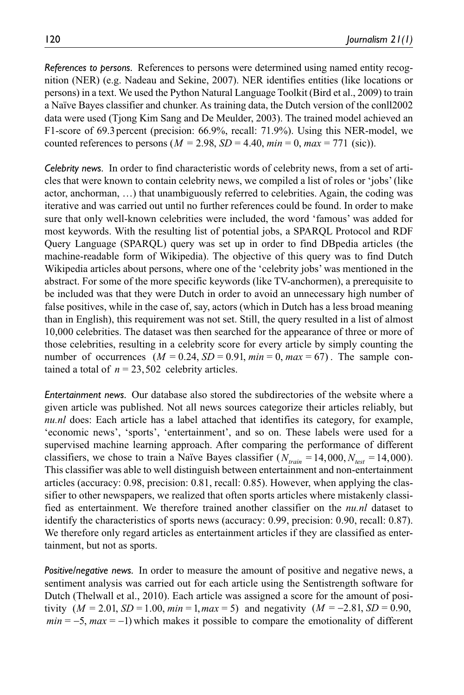*References to persons.* References to persons were determined using named entity recognition (NER) (e.g. Nadeau and Sekine, 2007). NER identifies entities (like locations or persons) in a text. We used the Python Natural Language Toolkit (Bird et al., 2009) to train a Naïve Bayes classifier and chunker. As training data, the Dutch version of the conll2002 data were used (Tjong Kim Sang and De Meulder, 2003). The trained model achieved an F1-score of 69.3percent (precision: 66.9%, recall: 71.9%). Using this NER-model, we counted references to persons ( $M = 2.98$ ,  $SD = 4.40$ ,  $min = 0$ ,  $max = 771$  (sic)).

*Celebrity news.* In order to find characteristic words of celebrity news, from a set of articles that were known to contain celebrity news, we compiled a list of roles or 'jobs' (like actor, anchorman, …) that unambiguously referred to celebrities. Again, the coding was iterative and was carried out until no further references could be found. In order to make sure that only well-known celebrities were included, the word 'famous' was added for most keywords. With the resulting list of potential jobs, a SPARQL Protocol and RDF Query Language (SPARQL) query was set up in order to find DBpedia articles (the machine-readable form of Wikipedia). The objective of this query was to find Dutch Wikipedia articles about persons, where one of the 'celebrity jobs' was mentioned in the abstract. For some of the more specific keywords (like TV-anchormen), a prerequisite to be included was that they were Dutch in order to avoid an unnecessary high number of false positives, while in the case of, say, actors (which in Dutch has a less broad meaning than in English), this requirement was not set. Still, the query resulted in a list of almost 10,000 celebrities. The dataset was then searched for the appearance of three or more of those celebrities, resulting in a celebrity score for every article by simply counting the number of occurrences  $(M = 0.24, SD = 0.91, min = 0, max = 67)$ . The sample contained a total of  $n = 23,502$  celebrity articles.

*Entertainment news.* Our database also stored the subdirectories of the website where a given article was published. Not all news sources categorize their articles reliably, but *nu.nl* does: Each article has a label attached that identifies its category, for example, 'economic news', 'sports', 'entertainment', and so on. These labels were used for a supervised machine learning approach. After comparing the performance of different classifiers, we chose to train a Naïve Bayes classifier  $(N_{train} = 14,000, N_{test} = 14,000)$ . This classifier was able to well distinguish between entertainment and non-entertainment articles (accuracy: 0.98, precision: 0.81, recall: 0.85). However, when applying the classifier to other newspapers, we realized that often sports articles where mistakenly classified as entertainment. We therefore trained another classifier on the *nu.nl* dataset to identify the characteristics of sports news (accuracy: 0.99, precision: 0.90, recall: 0.87). We therefore only regard articles as entertainment articles if they are classified as entertainment, but not as sports.

*Positive/negative news.* In order to measure the amount of positive and negative news, a sentiment analysis was carried out for each article using the Sentistrength software for Dutch (Thelwall et al., 2010). Each article was assigned a score for the amount of positivity  $(M = 2.01, SD = 1.00, min = 1, max = 5)$  and negativity  $(M = -2.81, SD = 0.90,$  $min = -5$ ,  $max = -1$ ) which makes it possible to compare the emotionality of different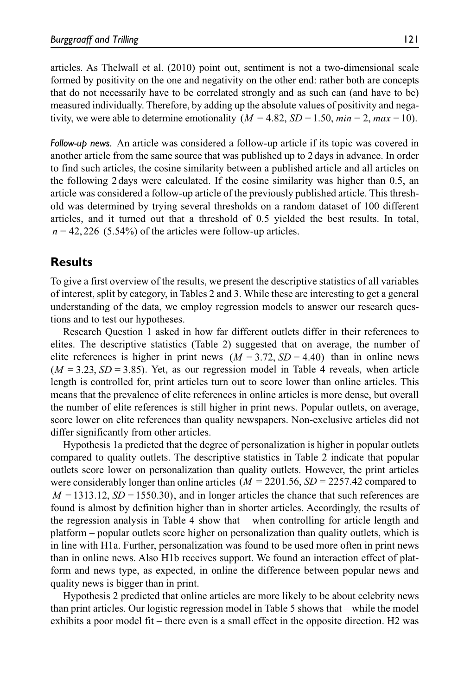articles. As Thelwall et al. (2010) point out, sentiment is not a two-dimensional scale formed by positivity on the one and negativity on the other end: rather both are concepts that do not necessarily have to be correlated strongly and as such can (and have to be) measured individually. Therefore, by adding up the absolute values of positivity and negativity, we were able to determine emotionality ( $M = 4.82$ ,  $SD = 1.50$ ,  $min = 2$ ,  $max = 10$ ).

*Follow-up news.* An article was considered a follow-up article if its topic was covered in another article from the same source that was published up to 2 days in advance. In order to find such articles, the cosine similarity between a published article and all articles on the following 2days were calculated. If the cosine similarity was higher than 0.5, an article was considered a follow-up article of the previously published article. This threshold was determined by trying several thresholds on a random dataset of 100 different articles, and it turned out that a threshold of 0.5 yielded the best results. In total,  $n = 42,226$  (5.54%) of the articles were follow-up articles.

## **Results**

To give a first overview of the results, we present the descriptive statistics of all variables of interest, split by category, in Tables 2 and 3. While these are interesting to get a general understanding of the data, we employ regression models to answer our research questions and to test our hypotheses.

Research Question 1 asked in how far different outlets differ in their references to elites. The descriptive statistics (Table 2) suggested that on average, the number of elite references is higher in print news  $(M = 3.72, SD = 4.40)$  than in online news  $(M = 3.23, SD = 3.85)$ . Yet, as our regression model in Table 4 reveals, when article length is controlled for, print articles turn out to score lower than online articles. This means that the prevalence of elite references in online articles is more dense, but overall the number of elite references is still higher in print news. Popular outlets, on average, score lower on elite references than quality newspapers. Non-exclusive articles did not differ significantly from other articles.

Hypothesis 1a predicted that the degree of personalization is higher in popular outlets compared to quality outlets. The descriptive statistics in Table 2 indicate that popular outlets score lower on personalization than quality outlets. However, the print articles were considerably longer than online articles  $(M = 2201.56, SD = 2257.42$  compared to  $M = 1313.12$ ,  $SD = 1550.30$ , and in longer articles the chance that such references are found is almost by definition higher than in shorter articles. Accordingly, the results of the regression analysis in Table 4 show that – when controlling for article length and platform – popular outlets score higher on personalization than quality outlets, which is in line with H1a. Further, personalization was found to be used more often in print news than in online news. Also H1b receives support. We found an interaction effect of platform and news type, as expected, in online the difference between popular news and quality news is bigger than in print.

Hypothesis 2 predicted that online articles are more likely to be about celebrity news than print articles. Our logistic regression model in Table 5 shows that – while the model exhibits a poor model fit – there even is a small effect in the opposite direction. H2 was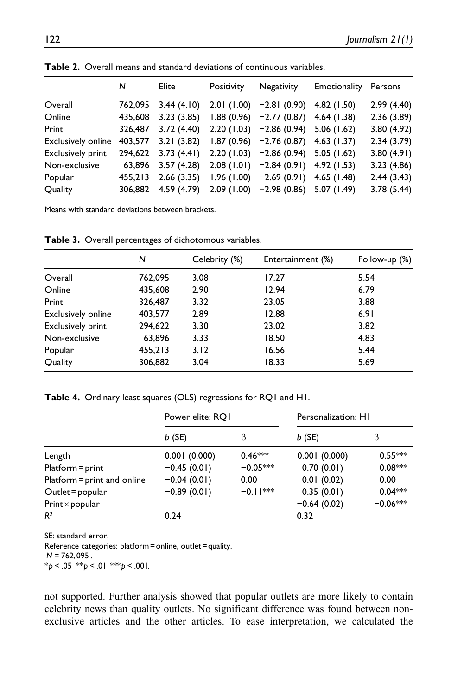|                           | Ν       | Elite               | Positivity | Negativity                           | Emotionality | Persons    |
|---------------------------|---------|---------------------|------------|--------------------------------------|--------------|------------|
| Overall                   | 762,095 | 3.44(4.10)          |            | $2.01(1.00) -2.81(0.90)$ 4.82 (1.50) |              | 2.99(4.40) |
| Online                    | 435,608 | 3.23(3.85)          |            | $1.88(0.96) -2.77(0.87)$ 4.64 (1.38) |              | 2.36(3.89) |
| Print                     | 326,487 | 3.72(4.40)          |            | $2.20(1.03) -2.86(0.94) 5.06(1.62)$  |              | 3.80(4.92) |
| <b>Exclusively online</b> | 403,577 | 3.21(3.82)          |            | $1.87(0.96) -2.76(0.87)$ 4.63 (1.37) |              | 2.34(3.79) |
| Exclusively print         | 294,622 | 3.73(4.41)          |            | $2.20(1.03) -2.86(0.94) 5.05(1.62)$  |              | 3.80(4.91) |
| Non-exclusive             | 63.896  | 3.57(4.28)          |            | $2.08(1.01) -2.84(0.91)$ 4.92 (1.53) |              | 3.23(4.86) |
| Popular                   | 455,213 | 2.66(3.35)          |            | $1.96(1.00) -2.69(0.91)$ 4.65 (1.48) |              | 2.44(3.43) |
| Quality                   |         | 306,882 4.59 (4.79) |            | $2.09(1.00) -2.98(0.86) 5.07(1.49)$  |              | 3.78(5.44) |

**Table 2.** Overall means and standard deviations of continuous variables.

Means with standard deviations between brackets.

**Table 3.** Overall percentages of dichotomous variables.

|                           | N       | Celebrity (%) | Entertainment (%) | Follow-up (%) |
|---------------------------|---------|---------------|-------------------|---------------|
| Overall                   | 762,095 | 3.08          | 17.27             | 5.54          |
| Online                    | 435,608 | 2.90          | 12.94             | 6.79          |
| Print                     | 326,487 | 3.32          | 23.05             | 3.88          |
| <b>Exclusively online</b> | 403,577 | 2.89          | 12.88             | 6.91          |
| Exclusively print         | 294,622 | 3.30          | 23.02             | 3.82          |
| Non-exclusive             | 63,896  | 3.33          | 18.50             | 4.83          |
| Popular                   | 455,213 | 3.12          | 16.56             | 5.44          |
| Quality                   | 306,882 | 3.04          | 18.33             | 5.69          |

**Table 4.** Ordinary least squares (OLS) regressions for RQ1 and H1.

|                             | Power elite: ROI |            | Personalization: H1 |            |
|-----------------------------|------------------|------------|---------------------|------------|
|                             | $b$ (SE)         | β          | $b$ (SE)            | β          |
| Length                      | 0.001(0.000)     | $0.46***$  | 0.001(0.000)        | $0.55***$  |
| Platform = print            | $-0.45(0.01)$    | $-0.05***$ | 0.70(0.01)          | $0.08***$  |
| Platform = print and online | $-0.04(0.01)$    | 0.00       | 0.01(0.02)          | 0.00       |
| Outlet = popular            | $-0.89(0.01)$    | $-0.11***$ | 0.35(0.01)          | $0.04***$  |
| $Print \times popular$      |                  |            | $-0.64(0.02)$       | $-0.06***$ |
| R <sup>2</sup>              | 0.24             |            | 0.32                |            |

SE: standard error.

Reference categories: platform=online, outlet=quality. *N* = 762,095 .

\**p* < .05 \*\**p* < .01 \*\*\**p* < .001.

not supported. Further analysis showed that popular outlets are more likely to contain celebrity news than quality outlets. No significant difference was found between nonexclusive articles and the other articles. To ease interpretation, we calculated the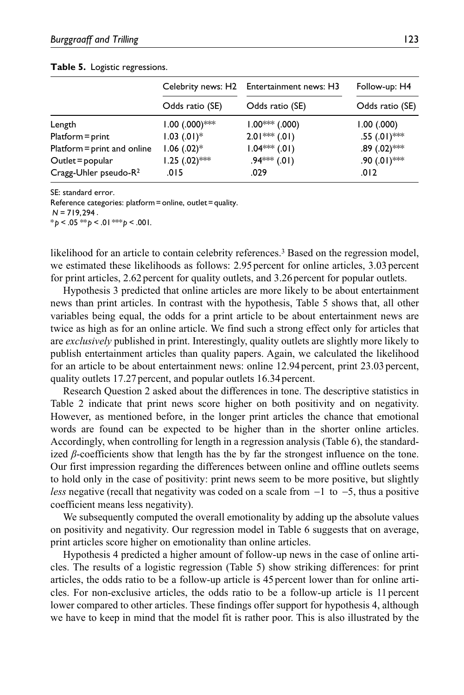|                                   |                     | Celebrity news: H <sub>2</sub> Entertainment news: H <sub>3</sub> | Follow-up: H4   |  |
|-----------------------------------|---------------------|-------------------------------------------------------------------|-----------------|--|
|                                   | Odds ratio (SE)     | Odds ratio (SE)                                                   | Odds ratio (SE) |  |
| Length                            | $1.00$ $(.000)$ *** | $1.00$ *** (.000)                                                 | $1.00$ $(.000)$ |  |
| $Platform = print$                | $1.03$ $(.01)*$     | $2.01***$ (.01)                                                   | .55 $(.01)$ *** |  |
| Platform = print and online       | $1.06$ $(.02)*$     | $1.04***(01)$                                                     | .89 $(.02)$ **  |  |
| Outlet = popular                  | $1.25$ $(.02)$ ***  | $.94***$ (.01)                                                    | .90 $(.01)$ **  |  |
| Cragg-Uhler pseudo-R <sup>2</sup> | .015                | .029                                                              | .012            |  |

#### **Table 5.** Logistic regressions.

SE: standard error.

Reference categories: platform=online, outlet=quality.  $N = 719,294$ . \**p* < .05 \*\**p* < .01\*\*\**p* < .001.

likelihood for an article to contain celebrity references.<sup>3</sup> Based on the regression model, we estimated these likelihoods as follows: 2.95 percent for online articles, 3.03 percent for print articles, 2.62 percent for quality outlets, and 3.26 percent for popular outlets.

Hypothesis 3 predicted that online articles are more likely to be about entertainment news than print articles. In contrast with the hypothesis, Table 5 shows that, all other variables being equal, the odds for a print article to be about entertainment news are twice as high as for an online article. We find such a strong effect only for articles that are *exclusively* published in print. Interestingly, quality outlets are slightly more likely to publish entertainment articles than quality papers. Again, we calculated the likelihood for an article to be about entertainment news: online 12.94 percent, print 23.03 percent, quality outlets 17.27 percent, and popular outlets 16.34percent.

Research Question 2 asked about the differences in tone. The descriptive statistics in Table 2 indicate that print news score higher on both positivity and on negativity. However, as mentioned before, in the longer print articles the chance that emotional words are found can be expected to be higher than in the shorter online articles. Accordingly, when controlling for length in a regression analysis (Table 6), the standardized  $\beta$ -coefficients show that length has the by far the strongest influence on the tone. Our first impression regarding the differences between online and offline outlets seems to hold only in the case of positivity: print news seem to be more positive, but slightly *less* negative (recall that negativity was coded on a scale from −1 to −5, thus a positive coefficient means less negativity).

We subsequently computed the overall emotionality by adding up the absolute values on positivity and negativity. Our regression model in Table 6 suggests that on average, print articles score higher on emotionality than online articles.

Hypothesis 4 predicted a higher amount of follow-up news in the case of online articles. The results of a logistic regression (Table 5) show striking differences: for print articles, the odds ratio to be a follow-up article is 45percent lower than for online articles. For non-exclusive articles, the odds ratio to be a follow-up article is 11 percent lower compared to other articles. These findings offer support for hypothesis 4, although we have to keep in mind that the model fit is rather poor. This is also illustrated by the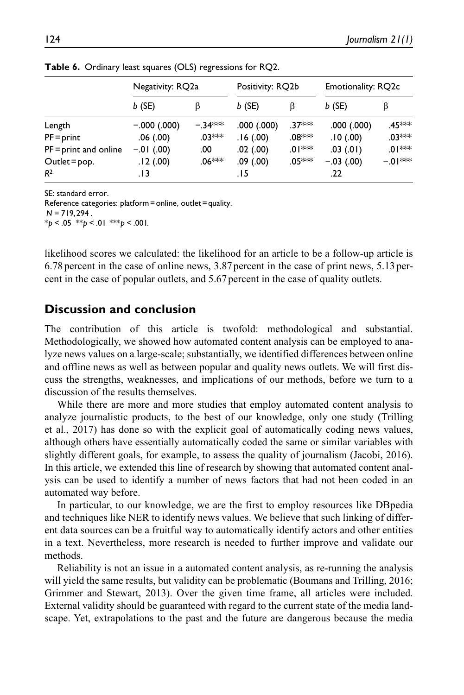|                         | Negativity: RQ2a |           | Positivity: RQ2b |          | Emotionality: RQ2c |          |
|-------------------------|------------------|-----------|------------------|----------|--------------------|----------|
|                         | b(SE)            | ß         | $b$ (SE)         | β        | $b$ (SE)           |          |
| Length                  | $-.000$ $(.000)$ | $-.34***$ | .000(.000)       | .37***   | $.000$ $(.000)$    | 45***    |
| $PF = print$            | .06(.00)         | $.03***$  | .16(0.00)        | .08***   | .10(.00)           | .03 ***  |
| $PF = print$ and online | $-.01$ (.00)     | .00       | $.02$ $(.00)$    | $.01***$ | .03(01)            | .01 ***  |
| Outlet = pop.           | .12(.00)         | $.06***$  | .09(.00)         | .05 ***  | $-.03$ (.00)       | $-01***$ |
| R <sup>2</sup>          | . I 3            |           | . I 5            |          | .22                |          |

**Table 6.** Ordinary least squares (OLS) regressions for RQ2.

SE: standard error.

Reference categories: platform=online, outlet=quality.  $N = 719.294$ . \**p* < .05 \*\**p* < .01 \*\*\**p* < .001.

likelihood scores we calculated: the likelihood for an article to be a follow-up article is 6.78percent in the case of online news, 3.87 percent in the case of print news, 5.13 percent in the case of popular outlets, and 5.67 percent in the case of quality outlets.

## **Discussion and conclusion**

The contribution of this article is twofold: methodological and substantial. Methodologically, we showed how automated content analysis can be employed to analyze news values on a large-scale; substantially, we identified differences between online and offline news as well as between popular and quality news outlets. We will first discuss the strengths, weaknesses, and implications of our methods, before we turn to a discussion of the results themselves.

While there are more and more studies that employ automated content analysis to analyze journalistic products, to the best of our knowledge, only one study (Trilling et al., 2017) has done so with the explicit goal of automatically coding news values, although others have essentially automatically coded the same or similar variables with slightly different goals, for example, to assess the quality of journalism (Jacobi, 2016). In this article, we extended this line of research by showing that automated content analysis can be used to identify a number of news factors that had not been coded in an automated way before.

In particular, to our knowledge, we are the first to employ resources like DBpedia and techniques like NER to identify news values. We believe that such linking of different data sources can be a fruitful way to automatically identify actors and other entities in a text. Nevertheless, more research is needed to further improve and validate our methods.

Reliability is not an issue in a automated content analysis, as re-running the analysis will yield the same results, but validity can be problematic (Boumans and Trilling, 2016; Grimmer and Stewart, 2013). Over the given time frame, all articles were included. External validity should be guaranteed with regard to the current state of the media landscape. Yet, extrapolations to the past and the future are dangerous because the media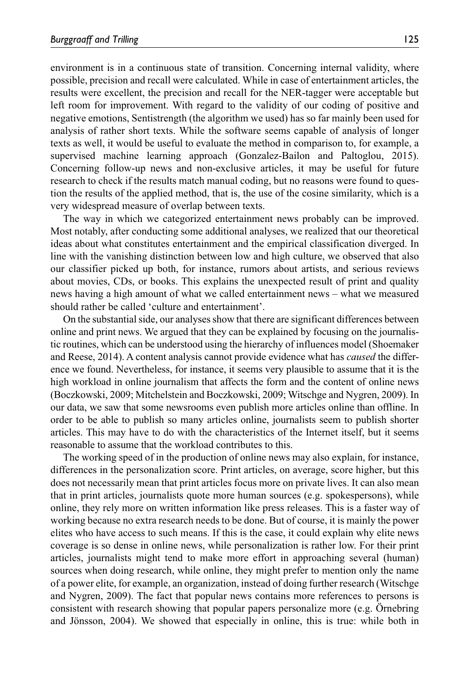environment is in a continuous state of transition. Concerning internal validity, where possible, precision and recall were calculated. While in case of entertainment articles, the results were excellent, the precision and recall for the NER-tagger were acceptable but left room for improvement. With regard to the validity of our coding of positive and negative emotions, Sentistrength (the algorithm we used) has so far mainly been used for analysis of rather short texts. While the software seems capable of analysis of longer texts as well, it would be useful to evaluate the method in comparison to, for example, a supervised machine learning approach (Gonzalez-Bailon and Paltoglou, 2015). Concerning follow-up news and non-exclusive articles, it may be useful for future research to check if the results match manual coding, but no reasons were found to question the results of the applied method, that is, the use of the cosine similarity, which is a very widespread measure of overlap between texts.

The way in which we categorized entertainment news probably can be improved. Most notably, after conducting some additional analyses, we realized that our theoretical ideas about what constitutes entertainment and the empirical classification diverged. In line with the vanishing distinction between low and high culture, we observed that also our classifier picked up both, for instance, rumors about artists, and serious reviews about movies, CDs, or books. This explains the unexpected result of print and quality news having a high amount of what we called entertainment news – what we measured should rather be called 'culture and entertainment'.

On the substantial side, our analyses show that there are significant differences between online and print news. We argued that they can be explained by focusing on the journalistic routines, which can be understood using the hierarchy of influences model (Shoemaker and Reese, 2014). A content analysis cannot provide evidence what has *caused* the difference we found. Nevertheless, for instance, it seems very plausible to assume that it is the high workload in online journalism that affects the form and the content of online news (Boczkowski, 2009; Mitchelstein and Boczkowski, 2009; Witschge and Nygren, 2009). In our data, we saw that some newsrooms even publish more articles online than offline. In order to be able to publish so many articles online, journalists seem to publish shorter articles. This may have to do with the characteristics of the Internet itself, but it seems reasonable to assume that the workload contributes to this.

The working speed of in the production of online news may also explain, for instance, differences in the personalization score. Print articles, on average, score higher, but this does not necessarily mean that print articles focus more on private lives. It can also mean that in print articles, journalists quote more human sources (e.g. spokespersons), while online, they rely more on written information like press releases. This is a faster way of working because no extra research needs to be done. But of course, it is mainly the power elites who have access to such means. If this is the case, it could explain why elite news coverage is so dense in online news, while personalization is rather low. For their print articles, journalists might tend to make more effort in approaching several (human) sources when doing research, while online, they might prefer to mention only the name of a power elite, for example, an organization, instead of doing further research (Witschge and Nygren, 2009). The fact that popular news contains more references to persons is consistent with research showing that popular papers personalize more (e.g. Örnebring and Jönsson, 2004). We showed that especially in online, this is true: while both in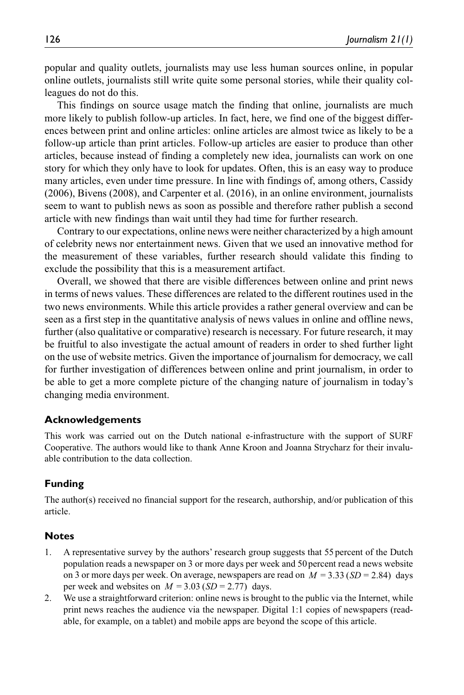popular and quality outlets, journalists may use less human sources online, in popular online outlets, journalists still write quite some personal stories, while their quality colleagues do not do this.

This findings on source usage match the finding that online, journalists are much more likely to publish follow-up articles. In fact, here, we find one of the biggest differences between print and online articles: online articles are almost twice as likely to be a follow-up article than print articles. Follow-up articles are easier to produce than other articles, because instead of finding a completely new idea, journalists can work on one story for which they only have to look for updates. Often, this is an easy way to produce many articles, even under time pressure. In line with findings of, among others, Cassidy (2006), Bivens (2008), and Carpenter et al. (2016), in an online environment, journalists seem to want to publish news as soon as possible and therefore rather publish a second article with new findings than wait until they had time for further research.

Contrary to our expectations, online news were neither characterized by a high amount of celebrity news nor entertainment news. Given that we used an innovative method for the measurement of these variables, further research should validate this finding to exclude the possibility that this is a measurement artifact.

Overall, we showed that there are visible differences between online and print news in terms of news values. These differences are related to the different routines used in the two news environments. While this article provides a rather general overview and can be seen as a first step in the quantitative analysis of news values in online and offline news, further (also qualitative or comparative) research is necessary. For future research, it may be fruitful to also investigate the actual amount of readers in order to shed further light on the use of website metrics. Given the importance of journalism for democracy, we call for further investigation of differences between online and print journalism, in order to be able to get a more complete picture of the changing nature of journalism in today's changing media environment.

#### **Acknowledgements**

This work was carried out on the Dutch national e-infrastructure with the support of SURF Cooperative. The authors would like to thank Anne Kroon and Joanna Strycharz for their invaluable contribution to the data collection.

### **Funding**

The author(s) received no financial support for the research, authorship, and/or publication of this article.

### **Notes**

- 1. A representative survey by the authors' research group suggests that 55 percent of the Dutch population reads a newspaper on 3 or more days per week and 50 percent read a news website on 3 or more days per week. On average, newspapers are read on  $M = 3.33$  ( $SD = 2.84$ ) days per week and websites on  $M = 3.03$  ( $SD = 2.77$ ) days.
- 2. We use a straightforward criterion: online news is brought to the public via the Internet, while print news reaches the audience via the newspaper. Digital 1:1 copies of newspapers (readable, for example, on a tablet) and mobile apps are beyond the scope of this article.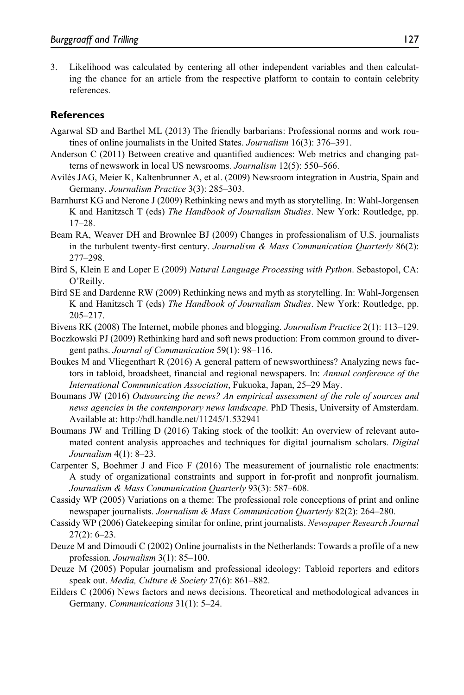3. Likelihood was calculated by centering all other independent variables and then calculating the chance for an article from the respective platform to contain to contain celebrity references.

## **References**

- Agarwal SD and Barthel ML (2013) The friendly barbarians: Professional norms and work routines of online journalists in the United States. *Journalism* 16(3): 376–391.
- Anderson C (2011) Between creative and quantified audiences: Web metrics and changing patterns of newswork in local US newsrooms. *Journalism* 12(5): 550–566.
- Avilés JAG, Meier K, Kaltenbrunner A, et al. (2009) Newsroom integration in Austria, Spain and Germany. *Journalism Practice* 3(3): 285–303.
- Barnhurst KG and Nerone J (2009) Rethinking news and myth as storytelling. In: Wahl-Jorgensen K and Hanitzsch T (eds) *The Handbook of Journalism Studies*. New York: Routledge, pp. 17–28.
- Beam RA, Weaver DH and Brownlee BJ (2009) Changes in professionalism of U.S. journalists in the turbulent twenty-first century. *Journalism & Mass Communication Quarterly* 86(2): 277–298.
- Bird S, Klein E and Loper E (2009) *Natural Language Processing with Python*. Sebastopol, CA: O'Reilly.
- Bird SE and Dardenne RW (2009) Rethinking news and myth as storytelling. In: Wahl-Jorgensen K and Hanitzsch T (eds) *The Handbook of Journalism Studies*. New York: Routledge, pp. 205–217.
- Bivens RK (2008) The Internet, mobile phones and blogging. *Journalism Practice* 2(1): 113–129.
- Boczkowski PJ (2009) Rethinking hard and soft news production: From common ground to divergent paths. *Journal of Communication* 59(1): 98–116.
- Boukes M and Vliegenthart R (2016) A general pattern of newsworthiness? Analyzing news factors in tabloid, broadsheet, financial and regional newspapers. In: *Annual conference of the International Communication Association*, Fukuoka, Japan, 25–29 May.
- Boumans JW (2016) *Outsourcing the news? An empirical assessment of the role of sources and news agencies in the contemporary news landscape*. PhD Thesis, University of Amsterdam. Available at: [http://hdl.handle.net/11245/1](http://hdl.handle.net/11245/).532941
- Boumans JW and Trilling D (2016) Taking stock of the toolkit: An overview of relevant automated content analysis approaches and techniques for digital journalism scholars. *Digital Journalism* 4(1): 8–23.
- Carpenter S, Boehmer J and Fico F (2016) The measurement of journalistic role enactments: A study of organizational constraints and support in for-profit and nonprofit journalism. *Journalism & Mass Communication Quarterly* 93(3): 587–608.
- Cassidy WP (2005) Variations on a theme: The professional role conceptions of print and online newspaper journalists. *Journalism & Mass Communication Quarterly* 82(2): 264–280.
- Cassidy WP (2006) Gatekeeping similar for online, print journalists. *Newspaper Research Journal* 27(2): 6–23.
- Deuze M and Dimoudi C (2002) Online journalists in the Netherlands: Towards a profile of a new profession. *Journalism* 3(1): 85–100.
- Deuze M (2005) Popular journalism and professional ideology: Tabloid reporters and editors speak out. *Media, Culture & Society* 27(6): 861–882.
- Eilders C (2006) News factors and news decisions. Theoretical and methodological advances in Germany. *Communications* 31(1): 5–24.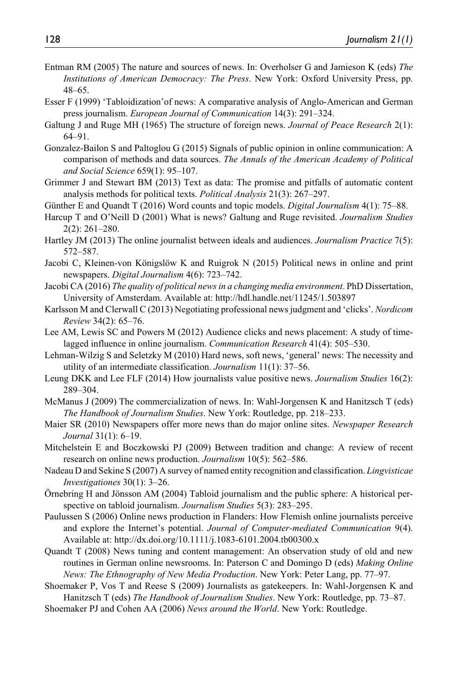- Entman RM (2005) The nature and sources of news. In: Overholser G and Jamieson K (eds) *The Institutions of American Democracy: The Press*. New York: Oxford University Press, pp. 48–65.
- Esser F (1999) 'Tabloidization'of news: A comparative analysis of Anglo-American and German press journalism. *European Journal of Communication* 14(3): 291–324.
- Galtung J and Ruge MH (1965) The structure of foreign news. *Journal of Peace Research* 2(1): 64–91.
- Gonzalez-Bailon S and Paltoglou G (2015) Signals of public opinion in online communication: A comparison of methods and data sources. *The Annals of the American Academy of Political and Social Science* 659(1): 95–107.
- Grimmer J and Stewart BM (2013) Text as data: The promise and pitfalls of automatic content analysis methods for political texts. *Political Analysis* 21(3): 267–297.
- Günther E and Quandt T (2016) Word counts and topic models. *Digital Journalism* 4(1): 75–88.
- Harcup T and O'Neill D (2001) What is news? Galtung and Ruge revisited. *Journalism Studies* 2(2): 261–280.
- Hartley JM (2013) The online journalist between ideals and audiences. *Journalism Practice* 7(5): 572–587.
- Jacobi C, Kleinen-von Königslöw K and Ruigrok N (2015) Political news in online and print newspapers. *Digital Journalism* 4(6): 723–742.
- Jacobi CA (2016) *The quality of political news in a changing media environment*. PhD Dissertation, University of Amsterdam. Available at: [http://hdl.handle.net/11245/1](http://hdl.handle.net/11245/).503897
- Karlsson M and Clerwall C (2013) Negotiating professional news judgment and 'clicks'. *Nordicom Review* 34(2): 65–76.
- Lee AM, Lewis SC and Powers M (2012) Audience clicks and news placement: A study of timelagged influence in online journalism. *Communication Research* 41(4): 505–530.
- Lehman-Wilzig S and Seletzky M (2010) Hard news, soft news, 'general' news: The necessity and utility of an intermediate classification. *Journalism* 11(1): 37–56.
- Leung DKK and Lee FLF (2014) How journalists value positive news. *Journalism Studies* 16(2): 289–304.
- McManus J (2009) The commercialization of news. In: Wahl-Jorgensen K and Hanitzsch T (eds) *The Handbook of Journalism Studies*. New York: Routledge, pp. 218–233.
- Maier SR (2010) Newspapers offer more news than do major online sites. *Newspaper Research Journal* 31(1): 6–19.
- Mitchelstein E and Boczkowski PJ (2009) Between tradition and change: A review of recent research on online news production. *Journalism* 10(5): 562–586.
- Nadeau D and Sekine S (2007) A survey of named entity recognition and classification. *Lingvisticae Investigationes* 30(1): 3–26.
- Örnebring H and Jönsson AM (2004) Tabloid journalism and the public sphere: A historical perspective on tabloid journalism. *Journalism Studies* 5(3): 283–295.
- Paulussen S (2006) Online news production in Flanders: How Flemish online journalists perceive and explore the Internet's potential. *Journal of Computer-mediated Communication* 9(4). Available at: http://dx.doi.org/10.1111/j.1083-6101.2004.tb00300.x
- Quandt T (2008) News tuning and content management: An observation study of old and new routines in German online newsrooms. In: Paterson C and Domingo D (eds) *Making Online News: The Ethnography of New Media Production*. New York: Peter Lang, pp. 77–97.
- Shoemaker P, Vos T and Reese S (2009) Journalists as gatekeepers. In: Wahl-Jorgensen K and Hanitzsch T (eds) *The Handbook of Journalism Studies*. New York: Routledge, pp. 73–87.
- Shoemaker PJ and Cohen AA (2006) *News around the World*. New York: Routledge.